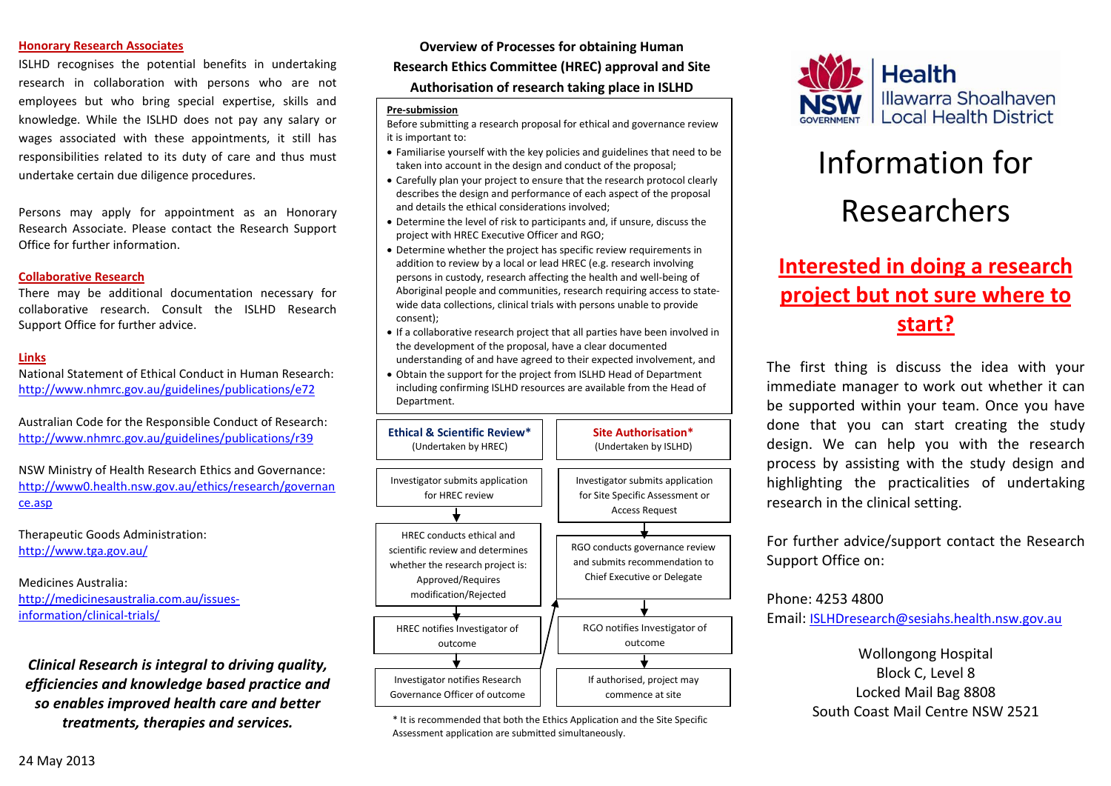#### **Honorary Research Associates**

ISLHD recognises the potential benefits in undertaking research in collaboration with persons who are not employees but who bring special expertise, skills and knowledge. While the ISLHD does not pay any salary or wages associated with these appointments, it still has responsibilities related to its duty of care and thus must undertake certain due diligence procedures.

Persons may apply for appointment as an Honorary Research Associate. Please contact the Research Support Office for further information.

#### **Collaborative Research**

There may be additional documentation necessary for collaborative research. Consult the ISLHD Research Support Office for further advice.

#### **Links**

National Statement of Ethical Conduct in Human Research: <http://www.nhmrc.gov.au/guidelines/publications/e72>

Australian Code for the Responsible Conduct of Research: <http://www.nhmrc.gov.au/guidelines/publications/r39>

NSW Ministry of Health Research Ethics and Governance: [http://www0.health.nsw.gov.au/ethics/research/governan](http://www0.health.nsw.gov.au/ethics/research/governance.asp) [ce.asp](http://www0.health.nsw.gov.au/ethics/research/governance.asp)

Therapeutic Goods Administration: <http://www.tga.gov.au/>

Medicines Australia: [http://medicinesaustralia.com.au/issues](http://medicinesaustralia.com.au/issues-information/clinical-trials/)[information/clinical-trials/](http://medicinesaustralia.com.au/issues-information/clinical-trials/)

*Clinical Research is integral to driving quality, efficiencies and knowledge based practice and so enables improved health care and better treatments, therapies and services.*

**Overview of Processes for obtaining Human Research Ethics Committee (HREC) approval and Site** 

**Authorisation of research taking place in ISLHD**

#### **Pre-submission**

Before submitting a research proposal for ethical and governance review it is important to:

- Familiarise yourself with the key policies and guidelines that need to be taken into account in the design and conduct of the proposal;
- Carefully plan your project to ensure that the research protocol clearly describes the design and performance of each aspect of the proposal and details the ethical considerations involved;
- Determine the level of risk to participants and, if unsure, discuss the project with HREC Executive Officer and RGO;
- Determine whether the project has specific review requirements in addition to review by a local or lead HREC (e.g. research involving persons in custody, research affecting the health and well-being of Aboriginal people and communities, research requiring access to statewide data collections, clinical trials with persons unable to provide consent);
- If a collaborative research project that all parties have been involved in the development of the proposal, have a clear documented understanding of and have agreed to their expected involvement, and
- Obtain the support for the project from ISLHD Head of Department including confirming ISLHD resources are available from the Head of Department.



\* It is recommended that both the Ethics Application and the Site Specific Assessment application are submitted simultaneously.



# Information for Researchers

# **Interested in doing a research project but not sure where to start?**

The first thing is discuss the idea with your immediate manager to work out whether it can be supported within your team. Once you have done that you can start creating the study design. We can help you with the research process by assisting with the study design and highlighting the practicalities of undertaking research in the clinical setting.

For further advice/support contact the Research Support Office on:

Phone: 4253 4800

Email[: ISLHDresearch@sesiahs.health.nsw.gov.au](mailto:ISLHDresearch@sesiahs.health.nsw.gov.au)

Wollongong Hospital Block C, Level 8 Locked Mail Bag 8808 South Coast Mail Centre NSW 2521